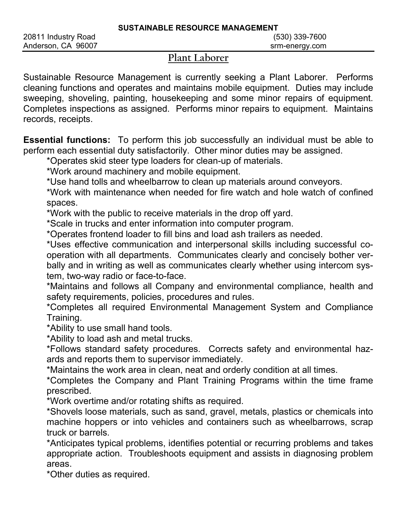## Plant Laborer

Sustainable Resource Management is currently seeking a Plant Laborer. Performs cleaning functions and operates and maintains mobile equipment. Duties may include sweeping, shoveling, painting, housekeeping and some minor repairs of equipment. Completes inspections as assigned. Performs minor repairs to equipment. Maintains records, receipts.

Essential functions: To perform this job successfully an individual must be able to perform each essential duty satisfactorily. Other minor duties may be assigned.

\*Operates skid steer type loaders for clean-up of materials.

\*Work around machinery and mobile equipment.

\*Use hand tolls and wheelbarrow to clean up materials around conveyors.

\*Work with maintenance when needed for fire watch and hole watch of confined spaces.

\*Work with the public to receive materials in the drop off yard.

\*Scale in trucks and enter information into computer program.

\*Operates frontend loader to fill bins and load ash trailers as needed.

\*Uses effective communication and interpersonal skills including successful cooperation with all departments. Communicates clearly and concisely bother verbally and in writing as well as communicates clearly whether using intercom system, two-way radio or face-to-face.

\*Maintains and follows all Company and environmental compliance, health and safety requirements, policies, procedures and rules.

\*Completes all required Environmental Management System and Compliance Training.

\*Ability to use small hand tools.

\*Ability to load ash and metal trucks.

\*Follows standard safety procedures. Corrects safety and environmental hazards and reports them to supervisor immediately.

\*Maintains the work area in clean, neat and orderly condition at all times.

\*Completes the Company and Plant Training Programs within the time frame prescribed.

\*Work overtime and/or rotating shifts as required.

\*Shovels loose materials, such as sand, gravel, metals, plastics or chemicals into machine hoppers or into vehicles and containers such as wheelbarrows, scrap truck or barrels.

\*Anticipates typical problems, identifies potential or recurring problems and takes appropriate action. Troubleshoots equipment and assists in diagnosing problem areas.

\*Other duties as required.